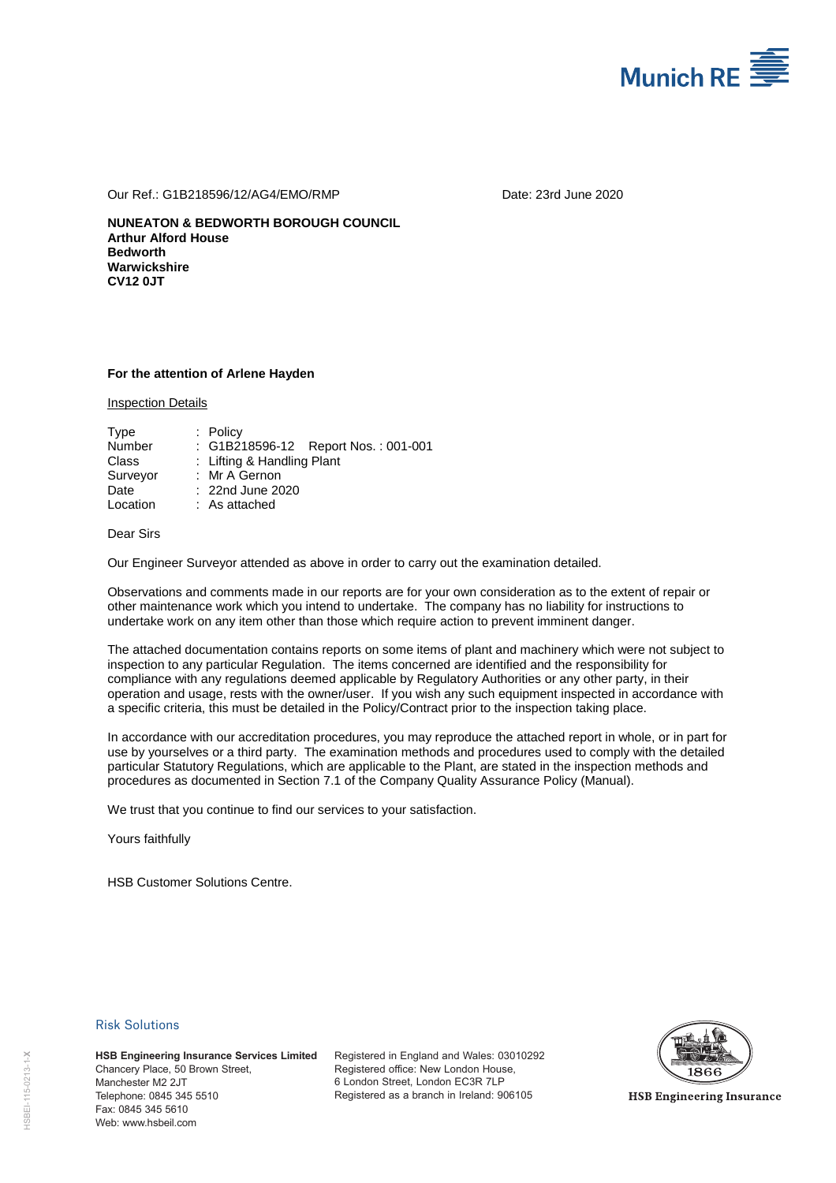

Our Ref.: G1B218596/12/AG4/EMO/RMP Date: 23rd June 2020

**NUNEATON & BEDWORTH BOROUGH COUNCIL Arthur Alford House Bedworth Warwickshire CV12 0JT** 

### **For the attention of Arlene Hayden**

Inspection Details

| Type     | $:$ Policy                          |
|----------|-------------------------------------|
| Number   | : G1B218596-12 Report Nos.: 001-001 |
| Class    | : Lifting & Handling Plant          |
| Surveyor | : Mr A Gernon                       |
| Date     | : 22nd June 2020                    |
| Location | $:$ As attached                     |

## Dear Sirs

Our Engineer Surveyor attended as above in order to carry out the examination detailed.

Observations and comments made in our reports are for your own consideration as to the extent of repair or other maintenance work which you intend to undertake. The company has no liability for instructions to undertake work on any item other than those which require action to prevent imminent danger.

The attached documentation contains reports on some items of plant and machinery which were not subject to inspection to any particular Regulation. The items concerned are identified and the responsibility for compliance with any regulations deemed applicable by Regulatory Authorities or any other party, in their operation and usage, rests with the owner/user. If you wish any such equipment inspected in accordance with a specific criteria, this must be detailed in the Policy/Contract prior to the inspection taking place.

In accordance with our accreditation procedures, you may reproduce the attached report in whole, or in part for use by yourselves or a third party. The examination methods and procedures used to comply with the detailed particular Statutory Regulations, which are applicable to the Plant, are stated in the inspection methods and procedures as documented in Section 7.1 of the Company Quality Assurance Policy (Manual).

We trust that you continue to find our services to your satisfaction.

Yours faithfully

HSB Customer Solutions Centre.

### Risk Solutions

**HSB Engineering Insurance Services Limited** Chancery Place, 50 Brown Street, Manchester M2 2JT Telephone: 0845 345 5510 Fax: 0845 345 5610 **HSB Engineering Ins<br>
Chancery Place, 50 B<br>
Manchester M2 2JT<br>
Telephone: 0845 345 345<br>
Fax: 0845 345 5610<br>
Web: www.hsbeil.com** 

Registered in England and Wales: 03010292 Registered office: New London House, 6 London Street, London EC3R 7LP Registered as a branch in Ireland: 906105



**HSB Engineering Insurance**